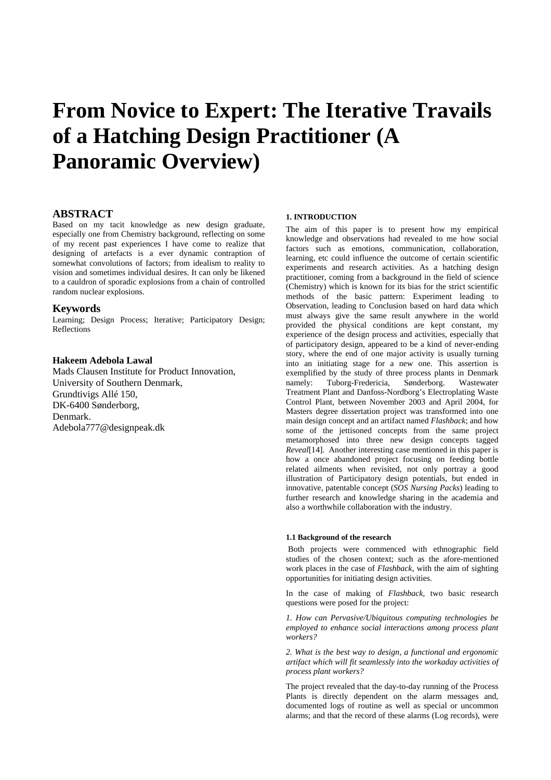# **From Novice to Expert: The Iterative Travails of a Hatching Design Practitioner (A Panoramic Overview)**

# **ABSTRACT**

Based on my tacit knowledge as new design graduate, especially one from Chemistry background, reflecting on some of my recent past experiences I have come to realize that designing of artefacts is a ever dynamic contraption of somewhat convolutions of factors; from idealism to reality to vision and sometimes individual desires. It can only be likened to a cauldron of sporadic explosions from a chain of controlled random nuclear explosions.

# **Keywords**

Learning; Design Process; Iterative; Participatory Design; Reflections

#### **Hakeem Adebola Lawal**

Mads Clausen Institute for Product Innovation, University of Southern Denmark, Grundtivigs Allé 150, DK-6400 Sønderborg, Denmark. Adebola777@designpeak.dk

#### **1. INTRODUCTION**

The aim of this paper is to present how my empirical knowledge and observations had revealed to me how social factors such as emotions, communication, collaboration, learning, etc could influence the outcome of certain scientific experiments and research activities. As a hatching design practitioner, coming from a background in the field of science (Chemistry) which is known for its bias for the strict scientific methods of the basic pattern: Experiment leading to Observation, leading to Conclusion based on hard data which must always give the same result anywhere in the world provided the physical conditions are kept constant, my experience of the design process and activities, especially that of participatory design, appeared to be a kind of never-ending story, where the end of one major activity is usually turning into an initiating stage for a new one. This assertion is exemplified by the study of three process plants in Denmark namely: Tuborg-Fredericia, Sønderborg. Wastewater Treatment Plant and Danfoss-Nordborg's Electroplating Waste Control Plant, between November 2003 and April 2004, for Masters degree dissertation project was transformed into one main design concept and an artifact named *Flashback*; and how some of the jettisoned concepts from the same project metamorphosed into three new design concepts tagged *Reveal*[14]. Another interesting case mentioned in this paper is how a once abandoned project focusing on feeding bottle related ailments when revisited, not only portray a good illustration of Participatory design potentials, but ended in innovative, patentable concept (*SOS Nursing Packs*) leading to further research and knowledge sharing in the academia and also a worthwhile collaboration with the industry.

#### **1.1 Background of the research**

 Both projects were commenced with ethnographic field studies of the chosen context; such as the afore-mentioned work places in the case of *Flashback*, with the aim of sighting opportunities for initiating design activities.

In the case of making of *Flashback*, two basic research questions were posed for the project:

*1. How can Pervasive/Ubiquitous computing technologies be employed to enhance social interactions among process plant workers?* 

*2. What is the best way to design, a functional and ergonomic artifact which will fit seamlessly into the workaday activities of process plant workers?* 

The project revealed that the day-to-day running of the Process Plants is directly dependent on the alarm messages and, documented logs of routine as well as special or uncommon alarms; and that the record of these alarms (Log records), were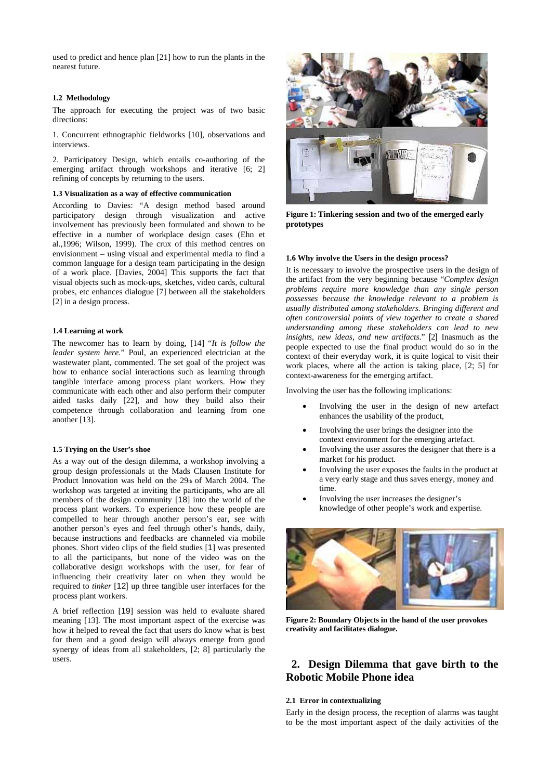used to predict and hence plan [21] how to run the plants in the nearest future.

#### **1.2 Methodology**

The approach for executing the project was of two basic directions:

1. Concurrent ethnographic fieldworks [10], observations and interviews.

2. Participatory Design, which entails co-authoring of the emerging artifact through workshops and iterative [6; 2] refining of concepts by returning to the users.

#### **1.3 Visualization as a way of effective communication**

According to Davies: "A design method based around participatory design through visualization and active involvement has previously been formulated and shown to be effective in a number of workplace design cases (Ehn et al.,1996; Wilson, 1999). The crux of this method centres on envisionment – using visual and experimental media to find a common language for a design team participating in the design of a work place. [Davies, 2004] This supports the fact that visual objects such as mock-ups, sketches, video cards, cultural probes, etc enhances dialogue [7] between all the stakeholders [2] in a design process.

#### **1.4 Learning at work**

The newcomer has to learn by doing, [14] "*It is follow the leader system here.*" Poul, an experienced electrician at the wastewater plant, commented. The set goal of the project was how to enhance social interactions such as learning through tangible interface among process plant workers. How they communicate with each other and also perform their computer aided tasks daily [22], and how they build also their competence through collaboration and learning from one another [13].

#### **1.5 Trying on the User's shoe**

As a way out of the design dilemma, a workshop involving a group design professionals at the Mads Clausen Institute for Product Innovation was held on the 29th of March 2004. The workshop was targeted at inviting the participants, who are all members of the design community [18] into the world of the process plant workers. To experience how these people are compelled to hear through another person's ear, see with another person's eyes and feel through other's hands, daily, because instructions and feedbacks are channeled via mobile phones. Short video clips of the field studies [1] was presented to all the participants, but none of the video was on the collaborative design workshops with the user, for fear of influencing their creativity later on when they would be required to *tinker* [12] up three tangible user interfaces for the process plant workers.

A brief reflection [19] session was held to evaluate shared meaning [13]. The most important aspect of the exercise was how it helped to reveal the fact that users do know what is best for them and a good design will always emerge from good synergy of ideas from all stakeholders, [2; 8] particularly the users.



**Figure 1: Tinkering session and two of the emerged early prototypes** 

#### **1.6 Why involve the Users in the design process?**

It is necessary to involve the prospective users in the design of the artifact from the very beginning because "*Complex design problems require more knowledge than any single person possesses because the knowledge relevant to a problem is usually distributed among stakeholders. Bringing different and often controversial points of view together to create a shared understanding among these stakeholders can lead to new insights, new ideas, and new artifacts.*" [2] Inasmuch as the people expected to use the final product would do so in the context of their everyday work, it is quite logical to visit their work places, where all the action is taking place, [2; 5] for context-awareness for the emerging artifact.

Involving the user has the following implications:

- Involving the user in the design of new artefact enhances the usability of the product,
- Involving the user brings the designer into the context environment for the emerging artefact.
- Involving the user assures the designer that there is a market for his product.
- Involving the user exposes the faults in the product at a very early stage and thus saves energy, money and time.
- Involving the user increases the designer's knowledge of other people's work and expertise.



**Figure 2: Boundary Objects in the hand of the user provokes creativity and facilitates dialogue.**

# **2. Design Dilemma that gave birth to the Robotic Mobile Phone idea**

#### **2.1 Error in contextualizing**

Early in the design process, the reception of alarms was taught to be the most important aspect of the daily activities of the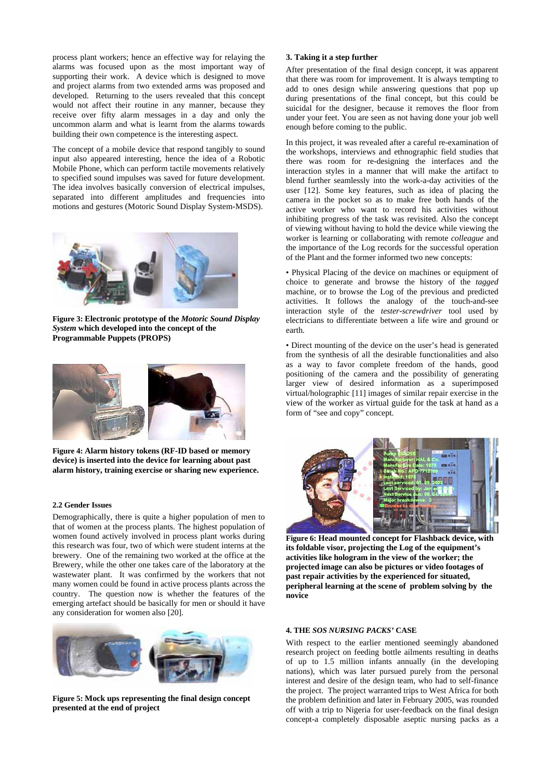process plant workers; hence an effective way for relaying the alarms was focused upon as the most important way of supporting their work. A device which is designed to move and project alarms from two extended arms was proposed and developed. Returning to the users revealed that this concept would not affect their routine in any manner, because they receive over fifty alarm messages in a day and only the uncommon alarm and what is learnt from the alarms towards building their own competence is the interesting aspect.

motions and gestures (Motoric Sound Display System-MSDS). The concept of a mobile device that respond tangibly to sound input also appeared interesting, hence the idea of a Robotic Mobile Phone, which can perform tactile movements relatively to specified sound impulses was saved for future development. The idea involves basically conversion of electrical impulses, separated into different amplitudes and frequencies into



Figure 3: Electronic prototype of the Motoric Sound Display **System** which developed into the concept of the **Programmable Puppets (PROPS)** 



**Figure 4: Alarm history tokens (RF-ID based or memory device) is inserted into the device for learning about past alarm history, training exercise or sharing new experience.** 

## **2.2 Gender Issues**

Demographically, there is quite a higher population of men to that of women at the process plants. The highest population of brewery. One of the remaining two worked at the office at the Brewery, while the other one takes care of the laboratory at the wastewater plant. It was confirmed by the workers that not women found actively involved in process plant works during this research was four, two of which were student interns at the many women could be found in active process plants across the country. The question now is whether the features of the emerging artefact should be basically for men or should it have any consideration for women also [20].



**Figure 5: Mock ups representing the final design concept presented at the end of project** 

# **3. Taking it a step further**

After presentation of the final design concept, it was apparent that there was room for improvement. It is always tempting to add to ones design while answering questions that pop up during presentations of the final concept, but this could be suicidal for the designer, because it removes the floor from under your feet. You are seen as not having done your job well enough before coming to the public.

In this project, it was revealed after a careful re-examination of the workshops, interviews and ethnographic field studies that there was room for re-designing the interfaces and the of viewing without having to hold the device while viewing the interaction styles in a manner that will make the artifact to blend further seamlessly into the work-a-day activities of the user [12]. Some key features, such as idea of placing the camera in the pocket so as to make free both hands of the active worker who want to record his activities without inhibiting progress of the task was revisited. Also the concept worker is learning or collaborating with remote *colleague* and the importance of the Log records for the successful operation of the Plant and the former informed two new concepts:

• Physical Placing of the device on machines or equipment of choice to generate and browse the history of the *tagged* machine, or to browse the Log of the previous and predicted activities. It follows the analogy of the touch-and-see interaction style of the *tester-screwdriver* tool used by electricians to differentiate between a life wire and ground or earth.

as a way to favor complete freedom of the hands, good • Direct mounting of the device on the user's head is generated from the synthesis of all the desirable functionalities and also positioning of the camera and the possibility of generating larger view of desired information as a superimposed virtual/holographic [11] images of similar repair exercise in the view of the worker as virtual guide for the task at hand as a form of "see and copy" concept.



**Figure 6: Head mounted concept for Flashback device, with its foldable visor, projecting the Log of the equipment's activities like hologram in the view of the worker; the projected image can also be pictures or video footages of past repair activities by the experienced for situated, peripheral learning at the scene of problem solving by the novice** 

## **4. THE** *SOS NURSING PACKS'* **CASE**

research project on feeding bottle ailments resulting in deaths nations), which was later pursued purely from the personal interest and desire of the design team, who had to self-finance the problem definition and later in February 2005, was rounded off with a trip to Nigeria for user-feedback on the final design concept-a completely disposable aseptic nursing packs as a With respect to the earlier mentioned seemingly abandoned of up to 1.5 million infants annually (in the developing the project. The project warranted trips to West Africa for both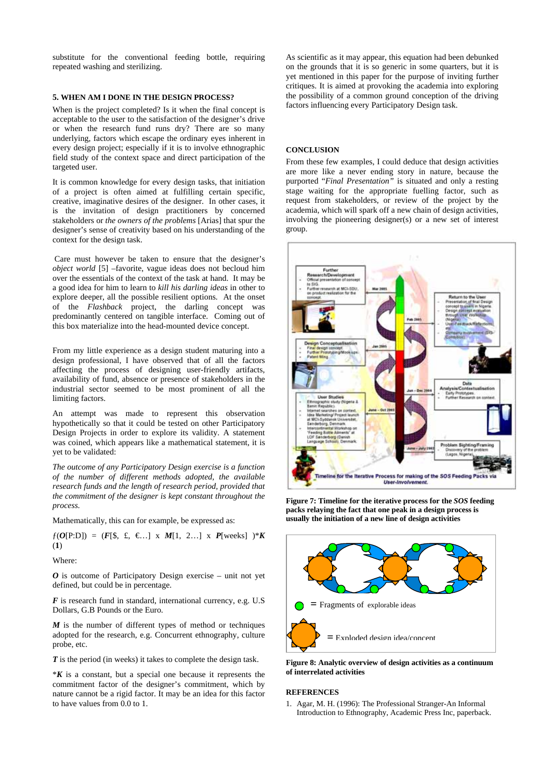substitute for the conventional feeding bottle, requiring repeated washing and sterilizing.

# **5. WHEN AM I DONE IN THE DESIGN PROCESS?**

When is the project completed? Is it when the final concept is acceptable to the user to the satisfaction of the designer's drive or when the research fund runs dry? There are so many underlying, factors which escape the ordinary eyes inherent in every design project; especially if it is to involve ethnographic field study of the context space and direct participation of the targeted user.

It is common knowledge for every design tasks, that initiation of a project is often aimed at fulfilling certain specific, creative, imaginative desires of the designer. In other cases, it is the invitation of design practitioners by concerned stakeholders or *the owners of the problems* [Arias] that spur the designer's sense of creativity based on his understanding of the context for the design task.

Care must however be taken to ensure that the designer's *object world* [5] –favorite, vague ideas does not becloud him over the essentials of the context of the task at hand. It may be a good idea for him to learn to *kill his darling ideas* in other to explore deeper, all the possible resilient options. At the onset of the *Flashback* project, the darling concept was predominantly centered on tangible interface. Coming out of this box materialize into the head-mounted device concept.

From my little experience as a design student maturing into a design professional, I have observed that of all the factors affecting the process of designing user-friendly artifacts, availability of fund, absence or presence of stakeholders in the industrial sector seemed to be most prominent of all the limiting factors.

was coined, which appears like a mathematical statement, it is yet to be validated: An attempt was made to represent this observation hypothetically so that it could be tested on other Participatory Design Projects in order to explore its validity. A statement

*The outcome of any Participatory Design exercise is a function of the number of different methods adopted, the available research funds and the length of research period, provided that the commitment of the designer is kept constant throughout the process.* 

Mathematically, this can for example, be expressed as:

 $f(O[P:D]) = (F[\$, \$, \$, \$, \$, \mathcal{M}[1, 2...] \times P[weeks] \rightarrow K$ (**1**)

Where:

*O* is outcome of Participatory Design exercise – unit not yet defined, but could be in percentage.

*F* is research fund in standard, international currency, e.g. U.S Dollars, G.B Pounds or the Euro.

 $M$  is the number of different types of method or techniques adopted for the research, e.g. Concurrent ethnography, culture probe, etc.

T is the period (in weeks) it takes to complete the design task.

 $*K$  is a constant, but a special one because it represents the commitment factor of the designer's commitment, which by nature cannot be a rigid factor. It may be an idea for this factor to have values from 0.0 to 1.

yet mentioned in this paper for the purpose of inviting further As scientific as it may appear, this equation had been debunked on the grounds that it is so generic in some quarters, but it is critiques. It is aimed at provoking the academia into exploring the possibility of a common ground conception of the driving factors influencing every Participatory Design task.

# **CONCLUSION**

request from stakeholders, or review of the project by the academia, which will spark off a new chain of design activities, involving the pioneering designer(s) or a new set of interest group. From these few examples, I could deduce that design activities are more like a never ending story in nature, because the purported "*Final Presentation"* is situated and only a resting stage waiting for the appropriate fuelling factor, such as



**Figure 7: Timeline for the iterative process for the** *SOS* **feeding packs relaying the fact that one peak in a design process is usually the initiation of a new line of design activities** 



**Figure 8: Analytic overview of design activities as a continuum of interrelated activities**

# **REFERENCES**

1. Agar, M. H. (1996): The Professional Stranger-An Informal Introduction to Ethnography, Academic Press Inc, paperback.